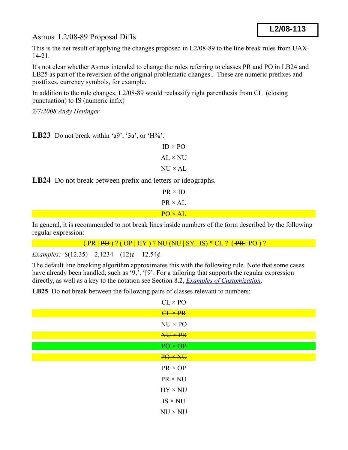## Asmus L2/08-89 Proposal Diffs

This is the net result of applying the changes proposed in L2/08-89 to the line break rules from UAX-14-21.

It's not clear whether Asmus intended to change the rules referring to classes PR and PO in LB24 and LB25 as part of the reversion of the original problematic changes.. These are numeric prefixes and postfixes, currency symbols, for example.

In addition to the rule changes, L2/08-89 would reclassify right parenthesis from CL (closing punctuation) to IS (numeric infix)

*2/7/2008 Andy Heninger*

**LB23** Do not break within 'a9', '3a', or ' $H\%$ '.

```
ID \times POAI \times NINU \times AL
```
**LB24** Do not break between prefix and letters or ideographs.

| $PR \times ID$ |  |
|----------------|--|
| $PR \times AL$ |  |
| $PQ \times AE$ |  |

In general, it is recommended to not break lines inside numbers of the form described by the following regular expression:

```
OPNUCLPR} | \overline{PO}) ?
```
*Examples:* \$(12.35) 2,1234 (12)¢ 12.54¢

The default line breaking algorithm approximates this with the following rule. Note that some cases have already been handled, such as '9,', '[9'. For a tailoring that supports the regular expression directly, as well as a key to the notation see Section 8.2, *[Examples of Customization](http://www.unicode.org/reports/tr14/tr14-21.html#Examples)*.

LB25 Do not break between the following pairs of classes relevant to numbers:

| $CL \times PO$ |
|----------------|
| $CL \times PR$ |
| $NU \times PO$ |
| NU * PR        |
| $PO \times OP$ |
| PO *NU         |
| $PR \times OP$ |
| $PR \times NU$ |
| $HY \times NU$ |
| $IS \times NU$ |
| $NU \times NU$ |